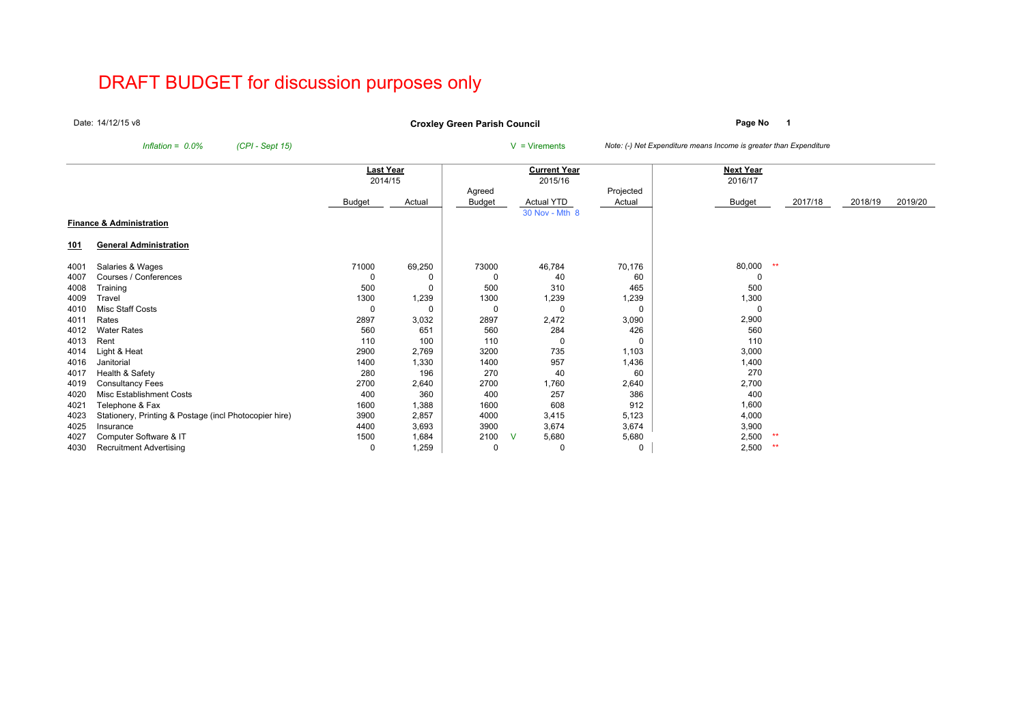# DRAFT BUDGET for discussion purposes only

Date:14/12/15 v8

**Page No <sup>1</sup> Croxley Green Parish Council**

*Inflation = 0.0% (CPI - Sept 15)* <sup>V</sup> = Virements *Note: (-) Net Expenditure means Income is greater than Expenditure*

|            |                                                        |        | Last Year |        | <b>Current Year</b> |           | Next Year |         |         |         |
|------------|--------------------------------------------------------|--------|-----------|--------|---------------------|-----------|-----------|---------|---------|---------|
|            |                                                        |        | 2014/15   |        | 2015/16             |           | 2016/17   |         |         |         |
|            |                                                        |        |           | Agreed |                     | Projected |           |         |         |         |
|            |                                                        | Budget | Actual    | Budget | <b>Actual YTD</b>   | Actual    | Budget    | 2017/18 | 2018/19 | 2019/20 |
|            |                                                        |        |           |        | 30 Nov - Mth 8      |           |           |         |         |         |
|            | <b>Finance &amp; Administration</b>                    |        |           |        |                     |           |           |         |         |         |
| <u>101</u> | <b>General Administration</b>                          |        |           |        |                     |           |           |         |         |         |
| 4001       | Salaries & Wages                                       | 71000  | 69,250    | 73000  | 46,784              | 70,176    | 80,000    | $*$     |         |         |
| 4007       | Courses / Conferences                                  | 0      |           | 0      | 40                  | 60        | 0         |         |         |         |
| 4008       | Training                                               | 500    | 0         | 500    | 310                 | 465       | 500       |         |         |         |
| 4009       | Travel                                                 | 1300   | 1,239     | 1300   | 1,239               | 1,239     | 1,300     |         |         |         |
| 4010       | Misc Staff Costs                                       | 0      | 0         | 0      | 0                   | 0         | 0         |         |         |         |
| 4011       | Rates                                                  | 2897   | 3,032     | 2897   | 2,472               | 3,090     | 2,900     |         |         |         |
| 4012       | <b>Water Rates</b>                                     | 560    | 651       | 560    | 284                 | 426       | 560       |         |         |         |
| 4013       | Rent                                                   | 110    | 100       | 110    | 0                   | 0         | 110       |         |         |         |
| 4014       | Light & Heat                                           | 2900   | 2,769     | 3200   | 735                 | 1,103     | 3,000     |         |         |         |
| 4016       | Janitorial                                             | 1400   | 1,330     | 1400   | 957                 | 1,436     | 1,400     |         |         |         |
| 4017       | Health & Safety                                        | 280    | 196       | 270    | 40                  | 60        | 270       |         |         |         |
| 4019       | <b>Consultancy Fees</b>                                | 2700   | 2,640     | 2700   | 1,760               | 2,640     | 2,700     |         |         |         |
| 4020       | Misc Establishment Costs                               | 400    | 360       | 400    | 257                 | 386       | 400       |         |         |         |
| 4021       | Telephone & Fax                                        | 1600   | 1,388     | 1600   | 608                 | 912       | 1,600     |         |         |         |
| 4023       | Stationery, Printing & Postage (incl Photocopier hire) | 3900   | 2,857     | 4000   | 3,415               | 5,123     | 4,000     |         |         |         |
| 4025       | Insurance                                              | 4400   | 3,693     | 3900   | 3,674               | 3,674     | 3,900     |         |         |         |
| 4027       | Computer Software & IT                                 | 1500   | 1,684     | 2100   | 5,680<br><b>V</b>   | 5,680     | 2,500     | **      |         |         |
| 4030       | <b>Recruitment Advertising</b>                         | 0      | 1,259     | 0      | 0                   | 0         | 2,500     | $**$    |         |         |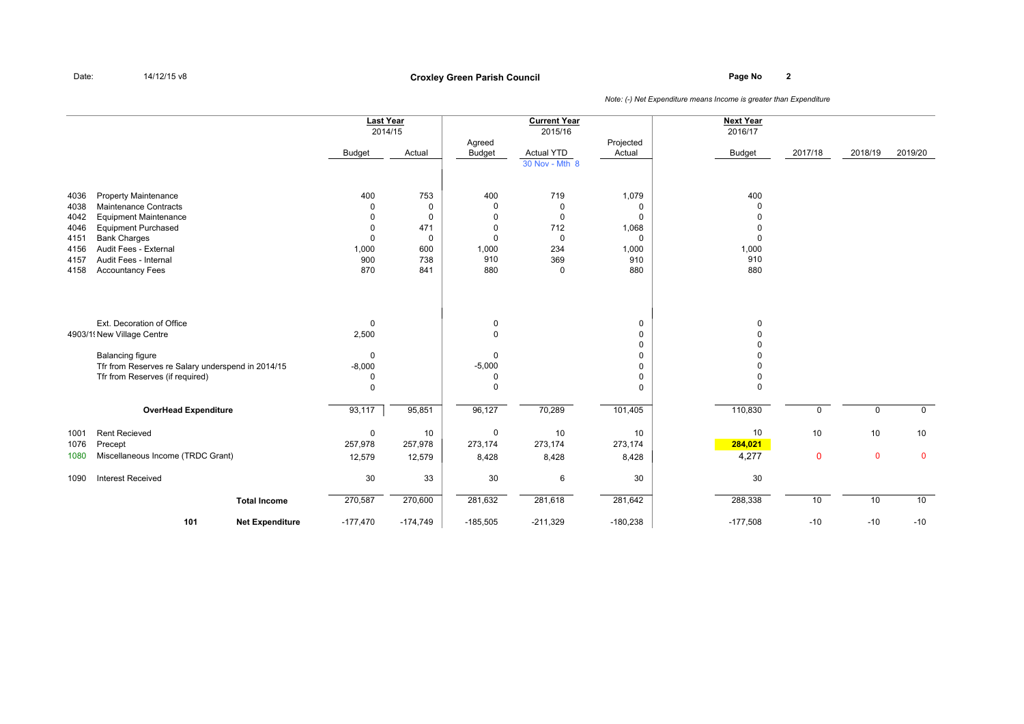# **Page No <sup>2</sup> Croxley Green Parish Council**

|      |                                                   | <b>Last Year</b><br>2014/15 |             | Agreed     | <b>Current Year</b><br>2015/16      | Projected   | <b>Next Year</b><br>2016/17 |             |             |             |
|------|---------------------------------------------------|-----------------------------|-------------|------------|-------------------------------------|-------------|-----------------------------|-------------|-------------|-------------|
|      |                                                   | Budget                      | Actual      | Budget     | <b>Actual YTD</b><br>30 Nov - Mth 8 | Actual      | <b>Budget</b>               | 2017/18     | 2018/19     | 2019/20     |
|      |                                                   |                             |             |            |                                     |             |                             |             |             |             |
| 4036 | <b>Property Maintenance</b>                       | 400                         | 753         | 400        | 719                                 | 1,079       | 400                         |             |             |             |
| 4038 | Maintenance Contracts                             | $\Omega$                    | 0           | 0          | $\mathbf 0$                         | $\Omega$    |                             |             |             |             |
| 4042 | <b>Equipment Maintenance</b>                      | $\Omega$                    | 0           | 0          | $\mathbf 0$                         | $\Omega$    |                             |             |             |             |
| 4046 | <b>Equipment Purchased</b>                        | $\mathbf 0$                 | 471         | 0          | 712                                 | 1,068       |                             |             |             |             |
| 4151 | <b>Bank Charges</b>                               | $\mathbf 0$                 | $\mathbf 0$ | 0          | $\mathbf 0$                         | $\mathbf 0$ | $\Omega$                    |             |             |             |
| 4156 | Audit Fees - External                             | 1,000                       | 600         | 1,000      | 234                                 | 1,000       | 1,000                       |             |             |             |
| 4157 | Audit Fees - Internal                             | 900                         | 738         | 910        | 369                                 | 910         | 910                         |             |             |             |
| 4158 | <b>Accountancy Fees</b>                           | 870                         | 841         | 880        | $\mathbf 0$                         | 880         | 880                         |             |             |             |
|      |                                                   |                             |             |            |                                     |             |                             |             |             |             |
|      | Ext. Decoration of Office                         | $\mathbf 0$                 |             | 0          |                                     | 0           | $\Omega$                    |             |             |             |
|      | 4903/1! New Village Centre                        | 2,500                       |             | 0          |                                     | $\Omega$    |                             |             |             |             |
|      |                                                   |                             |             |            |                                     | 0           |                             |             |             |             |
|      | <b>Balancing figure</b>                           | 0                           |             | 0          |                                     | 0           |                             |             |             |             |
|      | Tfr from Reserves re Salary underspend in 2014/15 | $-8,000$                    |             | $-5,000$   |                                     | 0           |                             |             |             |             |
|      | Tfr from Reserves (if required)                   | 0                           |             | 0          |                                     | 0           |                             |             |             |             |
|      |                                                   | $\mathbf 0$                 |             | $\Omega$   |                                     | $\Omega$    | $\Omega$                    |             |             |             |
|      | <b>OverHead Expenditure</b>                       | 93,117                      | 95,851      | 96,127     | 70,289                              | 101,405     | 110,830                     | 0           | 0           | $\mathbf 0$ |
| 1001 | <b>Rent Recieved</b>                              | $\mathbf 0$                 | 10          | 0          | 10                                  | 10          | 10                          | 10          | 10          | 10          |
| 1076 | Precept                                           | 257,978                     | 257,978     | 273,174    | 273,174                             | 273,174     | 284,021                     |             |             |             |
| 1080 | Miscellaneous Income (TRDC Grant)                 | 12,579                      | 12,579      | 8,428      | 8,428                               | 8,428       | 4,277                       | $\mathbf 0$ | $\mathbf 0$ | $\mathbf 0$ |
| 1090 | <b>Interest Received</b>                          | 30                          | 33          | 30         | 6                                   | 30          | 30                          |             |             |             |
|      | <b>Total Income</b>                               | 270,587                     | 270,600     | 281,632    | 281,618                             | 281,642     | 288,338                     | 10          | 10          | 10          |
|      | 101<br><b>Net Expenditure</b>                     | $-177,470$                  | $-174,749$  | $-185,505$ | $-211,329$                          | $-180,238$  | $-177,508$                  | $-10$       | $-10$       | $-10$       |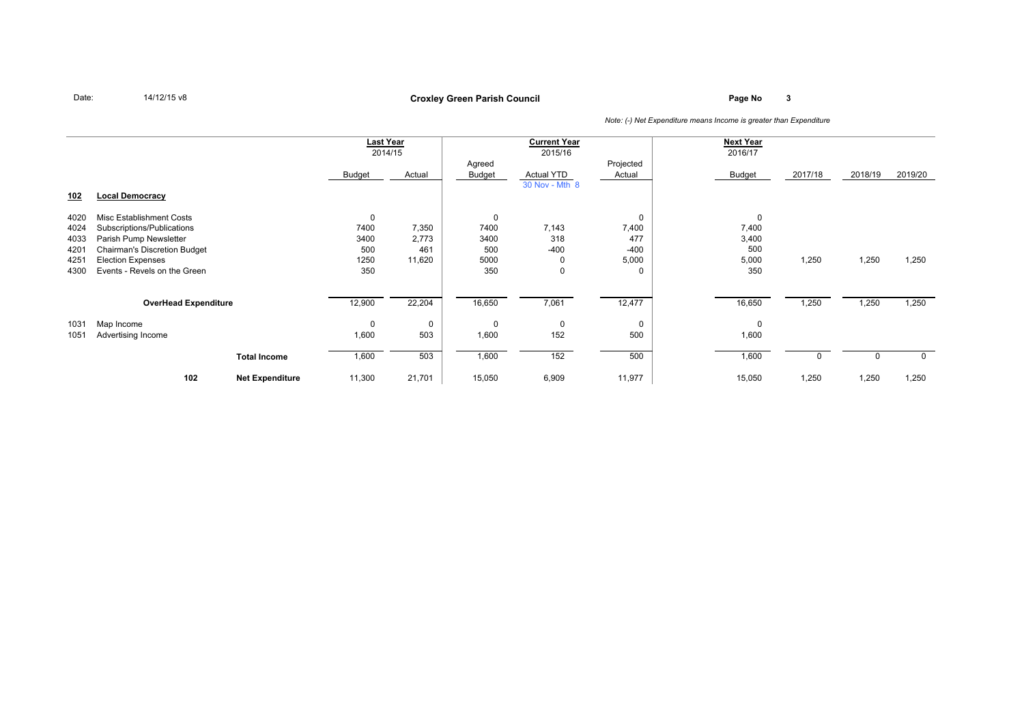### **Page No <sup>3</sup> Croxley Green Parish Council**

|            |                                     |                        | <b>Last Year</b> |         |        | <b>Current Year</b> |           | <b>Next Year</b> |         |         |          |
|------------|-------------------------------------|------------------------|------------------|---------|--------|---------------------|-----------|------------------|---------|---------|----------|
|            |                                     |                        |                  | 2014/15 |        | 2015/16             |           | 2016/17          |         |         |          |
|            |                                     |                        |                  |         | Agreed |                     | Projected |                  |         |         |          |
|            |                                     |                        | Budget           | Actual  | Budget | <b>Actual YTD</b>   | Actual    | Budget           | 2017/18 | 2018/19 | 2019/20  |
|            |                                     |                        |                  |         |        | 30 Nov - Mth 8      |           |                  |         |         |          |
| <u>102</u> | <b>Local Democracy</b>              |                        |                  |         |        |                     |           |                  |         |         |          |
|            |                                     |                        |                  |         |        |                     |           |                  |         |         |          |
| 4020       | Misc Establishment Costs            |                        | 0                |         | 0      |                     | 0         | 0                |         |         |          |
| 4024       | Subscriptions/Publications          |                        | 7400             | 7,350   | 7400   | 7,143               | 7,400     | 7,400            |         |         |          |
| 4033       | Parish Pump Newsletter              |                        | 3400             | 2,773   | 3400   | 318                 | 477       | 3,400            |         |         |          |
| 4201       | <b>Chairman's Discretion Budget</b> |                        | 500              | 461     | 500    | $-400$              | $-400$    | 500              |         |         |          |
| 4251       | <b>Election Expenses</b>            |                        | 1250             | 11,620  | 5000   | 0                   | 5,000     | 5,000            | 1,250   | 1,250   | 1,250    |
| 4300       | Events - Revels on the Green        |                        | 350              |         | 350    | $\mathbf 0$         | $\Omega$  | 350              |         |         |          |
|            |                                     |                        |                  |         |        |                     |           |                  |         |         |          |
|            |                                     |                        |                  |         |        |                     |           |                  |         |         |          |
|            | <b>OverHead Expenditure</b>         |                        | 12,900           | 22,204  | 16,650 | 7,061               | 12,477    | 16,650           | 1,250   | 1,250   | 1,250    |
| 1031       | Map Income                          |                        | 0                | 0       | 0      | 0                   | 0         | 0                |         |         |          |
| 1051       | Advertising Income                  |                        | 1,600            | 503     | 1,600  | 152                 | 500       | 1,600            |         |         |          |
|            |                                     |                        |                  |         |        |                     |           |                  |         |         |          |
|            |                                     | <b>Total Income</b>    | 1,600            | 503     | 1,600  | 152                 | 500       | 1,600            | 0       | 0       | $\Omega$ |
|            |                                     |                        |                  |         |        |                     |           |                  |         |         |          |
|            | 102                                 | <b>Net Expenditure</b> | 11,300           | 21,701  | 15,050 | 6,909               | 11,977    | 15,050           | 1,250   | 1,250   | 1,250    |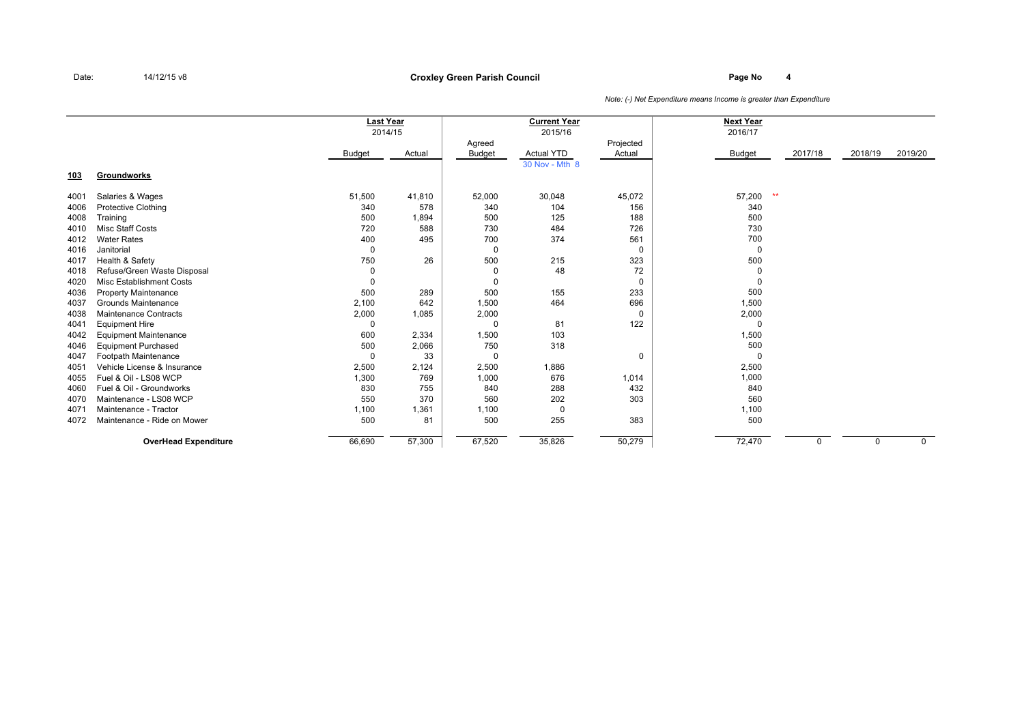### **Page No <sup>4</sup> Croxley Green Parish Council**

|      |                              |               | <b>Last Year</b> |               | <b>Current Year</b> |           | <b>Next Year</b> |             |          |              |
|------|------------------------------|---------------|------------------|---------------|---------------------|-----------|------------------|-------------|----------|--------------|
|      |                              |               | 2014/15          |               | 2015/16             |           | 2016/17          |             |          |              |
|      |                              |               |                  | Agreed        |                     | Projected |                  |             |          |              |
|      |                              | <b>Budget</b> | Actual           | <b>Budget</b> | <b>Actual YTD</b>   | Actual    | Budget           | 2017/18     | 2018/19  | 2019/20      |
|      |                              |               |                  |               | 30 Nov - Mth 8      |           |                  |             |          |              |
| 103  | Groundworks                  |               |                  |               |                     |           |                  |             |          |              |
| 4001 | Salaries & Wages             | 51,500        | 41,810           | 52,000        | 30,048              | 45,072    | $**$<br>57,200   |             |          |              |
| 4006 | <b>Protective Clothing</b>   | 340           | 578              | 340           | 104                 | 156       | 340              |             |          |              |
| 4008 | Training                     | 500           | 1,894            | 500           | 125                 | 188       | 500              |             |          |              |
| 4010 | Misc Staff Costs             | 720           | 588              | 730           | 484                 | 726       | 730              |             |          |              |
| 4012 | <b>Water Rates</b>           | 400           | 495              | 700           | 374                 | 561       | 700              |             |          |              |
| 4016 | Janitorial                   | 0             |                  | 0             |                     | 0         | $\mathbf 0$      |             |          |              |
| 4017 | Health & Safety              | 750           | 26               | 500           | 215                 | 323       | 500              |             |          |              |
| 4018 | Refuse/Green Waste Disposal  | 0             |                  | 0             | 48                  | 72        | $\Omega$         |             |          |              |
| 4020 | Misc Establishment Costs     | 0             |                  | $\Omega$      |                     | 0         | 0                |             |          |              |
| 4036 | <b>Property Maintenance</b>  | 500           | 289              | 500           | 155                 | 233       | 500              |             |          |              |
| 4037 | <b>Grounds Maintenance</b>   | 2,100         | 642              | 1,500         | 464                 | 696       | 1,500            |             |          |              |
| 4038 | <b>Maintenance Contracts</b> | 2,000         | 1,085            | 2,000         |                     | 0         | 2,000            |             |          |              |
| 4041 | <b>Equipment Hire</b>        | $\Omega$      |                  | $\Omega$      | 81                  | 122       | 0                |             |          |              |
| 4042 | <b>Equipment Maintenance</b> | 600           | 2,334            | 1,500         | 103                 |           | 1,500            |             |          |              |
| 4046 | <b>Equipment Purchased</b>   | 500           | 2,066            | 750           | 318                 |           | 500              |             |          |              |
| 4047 | Footpath Maintenance         | 0             | 33               | $\Omega$      |                     | $\Omega$  | 0                |             |          |              |
| 4051 | Vehicle License & Insurance  | 2,500         | 2,124            | 2,500         | 1,886               |           | 2,500            |             |          |              |
| 4055 | Fuel & Oil - LS08 WCP        | 1,300         | 769              | 1,000         | 676                 | 1,014     | 1,000            |             |          |              |
| 4060 | Fuel & Oil - Groundworks     | 830           | 755              | 840           | 288                 | 432       | 840              |             |          |              |
| 4070 | Maintenance - LS08 WCP       | 550           | 370              | 560           | 202                 | 303       | 560              |             |          |              |
| 4071 | Maintenance - Tractor        | 1,100         | 1,361            | 1,100         | $\Omega$            |           | 1,100            |             |          |              |
| 4072 | Maintenance - Ride on Mower  | 500           | 81               | 500           | 255                 | 383       | 500              |             |          |              |
|      | <b>OverHead Expenditure</b>  | 66,690        | 57,300           | 67,520        | 35,826              | 50,279    | 72,470           | $\mathbf 0$ | $\Omega$ | $\mathsf{O}$ |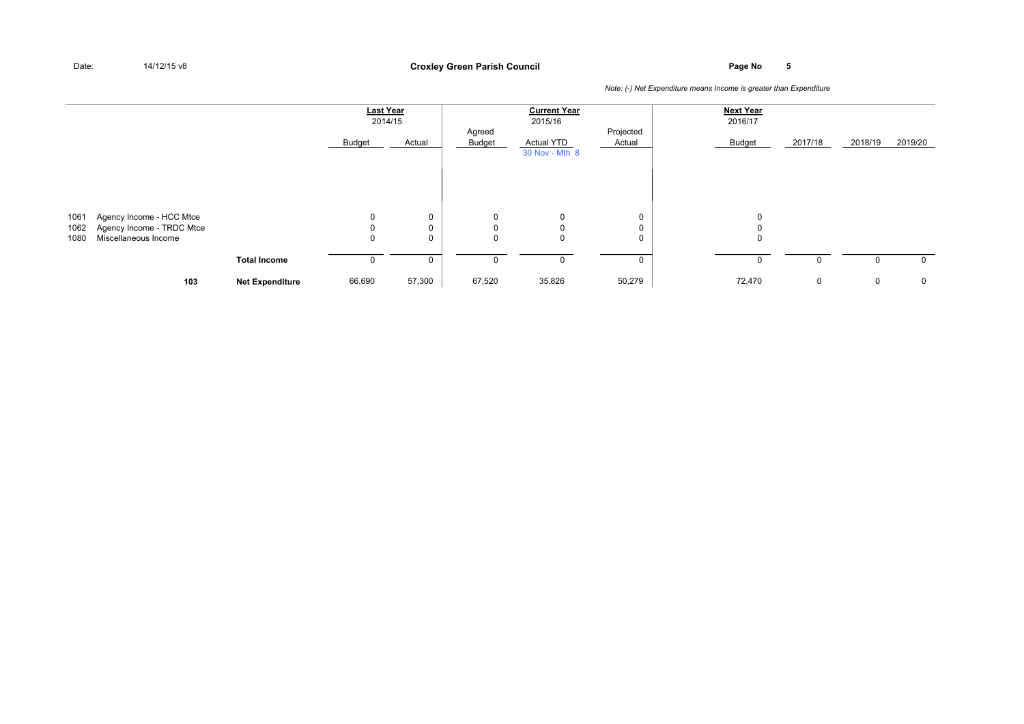**Page No <sup>5</sup> Croxley Green Parish Council**

|                      |                                                                               |                        |             | <b>Last Year</b><br>2014/15 |                       | <b>Current Year</b><br>2015/16      | Projected   | <b>Next Year</b><br>2016/17     |         |         |             |
|----------------------|-------------------------------------------------------------------------------|------------------------|-------------|-----------------------------|-----------------------|-------------------------------------|-------------|---------------------------------|---------|---------|-------------|
|                      |                                                                               |                        | Budget      | Actual                      | Agreed<br>Budget      | <b>Actual YTD</b><br>30 Nov - Mth 8 | Actual      | Budget                          | 2017/18 | 2018/19 | 2019/20     |
| 1061<br>1062<br>1080 | Agency Income - HCC Mtce<br>Agency Income - TRDC Mtce<br>Miscellaneous Income |                        | 0<br>0<br>0 | 0<br>0<br>0                 | 0<br>$\mathbf 0$<br>0 | 0<br>$\mathbf 0$<br>$\mathbf 0$     | 0<br>0<br>0 | 0<br>$\mathbf 0$<br>$\mathbf 0$ |         |         |             |
|                      |                                                                               | <b>Total Income</b>    | 0           | $\Omega$                    | 0                     | 0                                   | 0           | 0                               | 0       | 0       | 0           |
|                      | 103                                                                           | <b>Net Expenditure</b> | 66,690      | 57,300                      | 67,520                | 35,826                              | 50,279      | 72,470                          | 0       | 0       | $\mathbf 0$ |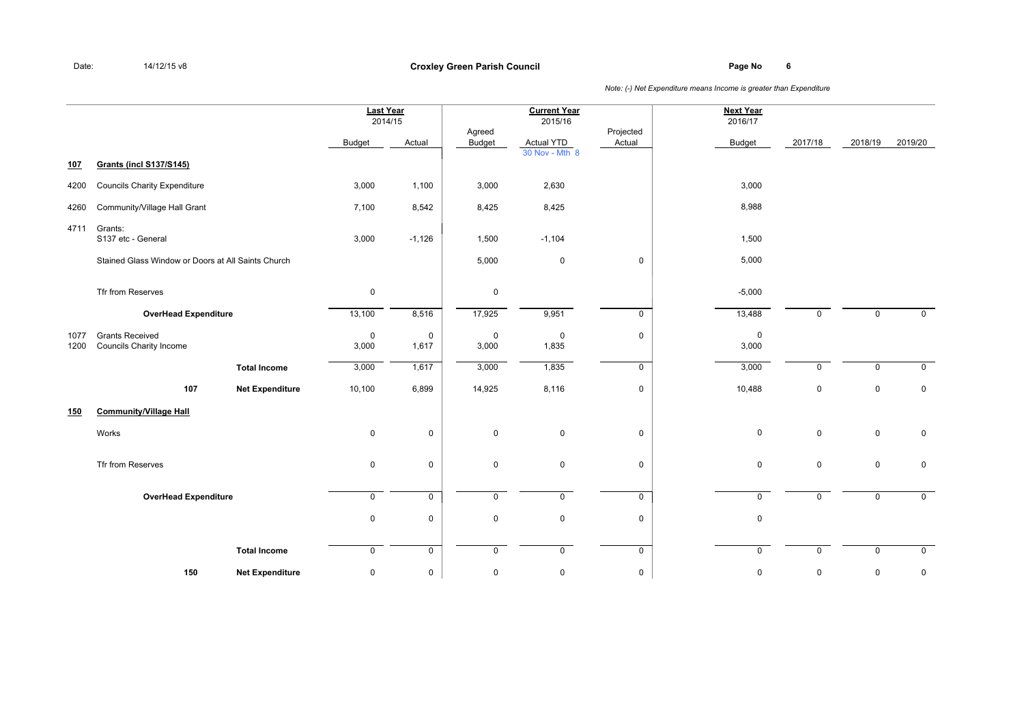**Page No <sup>6</sup> Croxley Green Parish Council**

|              |                                                    |                        | <b>Last Year</b> | 2014/15        |                      | <b>Current Year</b><br>2015/16      |                     | <b>Next Year</b><br>2016/17 |              |         |             |
|--------------|----------------------------------------------------|------------------------|------------------|----------------|----------------------|-------------------------------------|---------------------|-----------------------------|--------------|---------|-------------|
|              |                                                    |                        | <b>Budget</b>    | Actual         | Agreed<br>Budget     | <b>Actual YTD</b><br>30 Nov - Mth 8 | Projected<br>Actual | Budget                      | 2017/18      | 2018/19 | 2019/20     |
| 107          | <b>Grants (incl S137/S145)</b>                     |                        |                  |                |                      |                                     |                     |                             |              |         |             |
| 4200         | <b>Councils Charity Expenditure</b>                |                        | 3,000            | 1,100          | 3,000                | 2,630                               |                     | 3,000                       |              |         |             |
| 4260         | Community/Village Hall Grant                       |                        | 7,100            | 8,542          | 8,425                | 8,425                               |                     | 8,988                       |              |         |             |
| 4711         | Grants:<br>S137 etc - General                      |                        | 3,000            | $-1,126$       | 1,500                | $-1,104$                            |                     | 1,500                       |              |         |             |
|              | Stained Glass Window or Doors at All Saints Church |                        |                  |                | 5,000                | $\overline{0}$                      | 0                   | 5,000                       |              |         |             |
|              | Tfr from Reserves                                  |                        | $\mathsf 0$      |                | 0                    |                                     |                     | $-5,000$                    |              |         |             |
|              | <b>OverHead Expenditure</b>                        |                        | 13,100           | 8,516          | 17,925               | 9,951                               | $\mathsf{O}$        | 13,488                      | $\mathbf 0$  | 0       | $\mathbf 0$ |
| 1077<br>1200 | <b>Grants Received</b><br>Councils Charity Income  |                        | 0<br>3,000       | 0<br>1,617     | $\mathbf 0$<br>3,000 | $\overline{0}$<br>1,835             | $\mathbf 0$         | $\mathbf 0$<br>3,000        |              |         |             |
|              |                                                    | <b>Total Income</b>    | 3,000            | 1,617          | 3,000                | 1,835                               | $\mathsf{O}$        | 3,000                       | $\mathbf{0}$ | 0       | 0           |
|              | 107                                                | <b>Net Expenditure</b> | 10,100           | 6,899          | 14,925               | 8,116                               | 0                   | 10,488                      | $\mathbf 0$  | 0       | $\mathbf 0$ |
| <b>150</b>   | <b>Community/Village Hall</b>                      |                        |                  |                |                      |                                     |                     |                             |              |         |             |
|              | Works                                              |                        | $\mathsf 0$      | 0              | $\mathsf{O}$         | $\mathbf 0$                         | 0                   | $\pmb{0}$                   | $\mathbf 0$  | 0       | $\mathbf 0$ |
|              | Tfr from Reserves                                  |                        | 0                | $\mathbf 0$    | 0                    | $\overline{0}$                      | $\mathbf 0$         | $\mathbf 0$                 | $\mathbf 0$  | 0       | $\mathbf 0$ |
|              | <b>OverHead Expenditure</b>                        |                        | $\overline{0}$   | $\overline{0}$ | 0                    | $\mathbf 0$                         | $\overline{0}$      | $\mathsf 0$                 | $\mathbf 0$  | 0       | $\mathbf 0$ |
|              |                                                    |                        | $\mathsf 0$      | $\mathsf 0$    | $\mathsf{O}$         | $\mathsf 0$                         | 0                   | $\mathbf 0$                 |              |         |             |
|              |                                                    | <b>Total Income</b>    | $\mathbf 0$      | $\mathbf 0$    | $\mathsf{O}$         | $\mathbf 0$                         | $\mathsf{O}$        | $\mathbf 0$                 | $\mathbf 0$  | 0       | 0           |
|              | 150                                                | <b>Net Expenditure</b> | 0                | $\mathsf 0$    | 0                    | $\mathsf 0$                         | 0                   | $\pmb{0}$                   | 0            | 0       | 0           |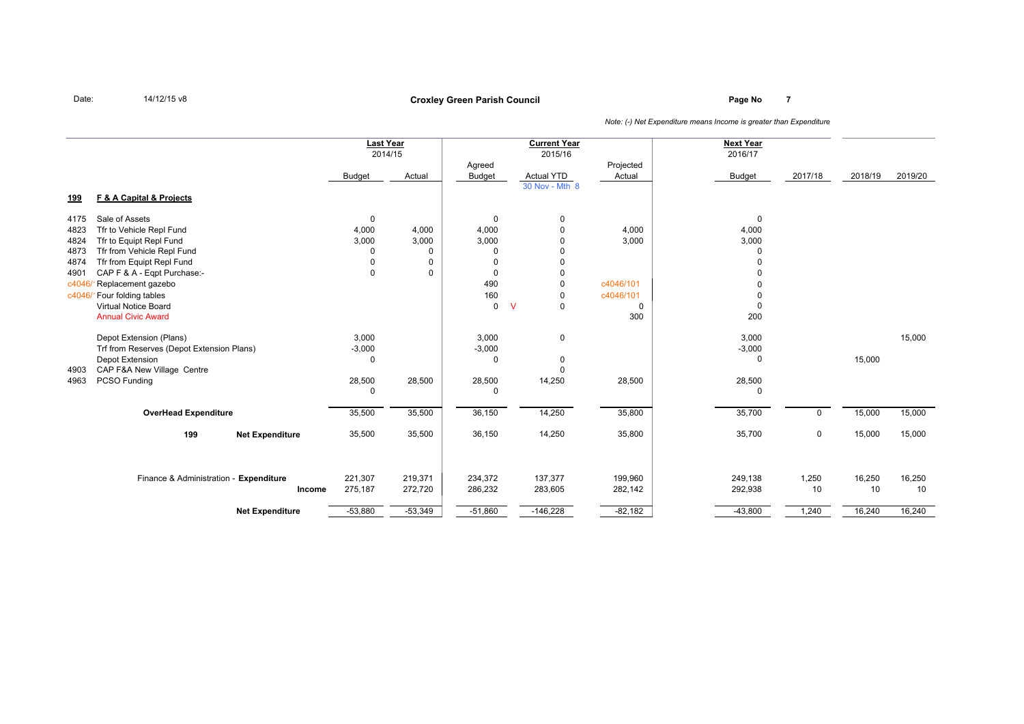## **Page No <sup>7</sup> Croxley Green Parish Council**

|            |                                           |               | <b>Last Year</b><br>2014/15 |                         | <b>Current Year</b><br>2015/16 |                     | <b>Next Year</b><br>2016/17 |                                 |
|------------|-------------------------------------------|---------------|-----------------------------|-------------------------|--------------------------------|---------------------|-----------------------------|---------------------------------|
|            |                                           | <b>Budget</b> | Actual                      | Agreed<br><b>Budget</b> | <b>Actual YTD</b>              | Projected<br>Actual | <b>Budget</b><br>2017/18    | 2018/19<br>2019/20              |
|            |                                           |               |                             |                         | 30 Nov - Mth 8                 |                     |                             |                                 |
| <u>199</u> | F & A Capital & Projects                  |               |                             |                         |                                |                     |                             |                                 |
| 4175       | Sale of Assets                            | 0             |                             | $\Omega$                | 0                              |                     | $\mathbf 0$                 |                                 |
| 4823       | Tfr to Vehicle Repl Fund                  | 4,000         | 4,000                       | 4,000                   | $\mathbf{0}$                   | 4,000               | 4,000                       |                                 |
| 4824       | Tfr to Equipt Repl Fund                   | 3,000         | 3,000                       | 3,000                   | <sup>0</sup>                   | 3,000               | 3,000                       |                                 |
| 4873       | Tfr from Vehicle Repl Fund                | 0             | 0                           | $\Omega$                | 0                              |                     | 0                           |                                 |
| 4874       | Tfr from Equipt Repl Fund                 | 0             | 0                           | $\Omega$                | 0                              |                     | 0                           |                                 |
| 4901       | CAP F & A - Eqpt Purchase:-               | $\mathbf 0$   | $\mathbf 0$                 | 0                       | 0                              |                     | 0                           |                                 |
| c4046      | Replacement gazebo                        |               |                             | 490                     | $\mathbf 0$                    | c4046/101           | 0                           |                                 |
| c4046/     | Four folding tables                       |               |                             | 160                     | 0                              | c4046/101           | 0                           |                                 |
|            | <b>Virtual Notice Board</b>               |               |                             | $\Omega$                | $\vee$<br>$\mathbf 0$          | $\mathbf 0$         | $\mathbf 0$                 |                                 |
|            | <b>Annual Civic Award</b>                 |               |                             |                         |                                | 300                 | 200                         |                                 |
|            | Depot Extension (Plans)                   | 3,000         |                             | 3,000                   | $\mathbf 0$                    |                     | 3,000                       | 15,000                          |
|            | Trf from Reserves (Depot Extension Plans) | $-3,000$      |                             | $-3,000$                |                                |                     | $-3,000$                    |                                 |
|            | Depot Extension                           | 0             |                             | $\Omega$                | $\pmb{0}$                      |                     | $\Omega$                    | 15,000                          |
| 4903       | CAP F&A New Village Centre                |               |                             |                         | $\Omega$                       |                     |                             |                                 |
| 4963       | PCSO Funding                              | 28,500        | 28,500                      | 28,500                  | 14,250                         | 28,500              | 28,500                      |                                 |
|            |                                           | 0             |                             |                         |                                |                     | 0                           |                                 |
|            | <b>OverHead Expenditure</b>               | 35,500        | 35,500                      | 36,150                  | 14,250                         | 35,800              | 35,700                      | 15,000<br>15,000<br>$\mathbf 0$ |
|            | 199<br><b>Net Expenditure</b>             | 35,500        | 35,500                      | 36,150                  | 14,250                         | 35,800              | 35,700                      | 0<br>15,000<br>15,000           |
|            |                                           |               |                             |                         |                                |                     |                             |                                 |
|            | Finance & Administration - Expenditure    | 221,307       | 219,371                     | 234,372                 | 137,377                        | 199,960             | 249,138<br>1,250            | 16,250<br>16,250                |
|            | Income                                    | 275,187       | 272,720                     | 286,232                 | 283,605                        | 282,142             | 292,938                     | 10<br>10<br>10                  |
|            |                                           |               |                             |                         |                                |                     |                             |                                 |
|            | <b>Net Expenditure</b>                    | $-53,880$     | $-53,349$                   | $-51,860$               | $-146,228$                     | $-82,182$           | $-43,800$<br>1,240          | 16,240<br>16,240                |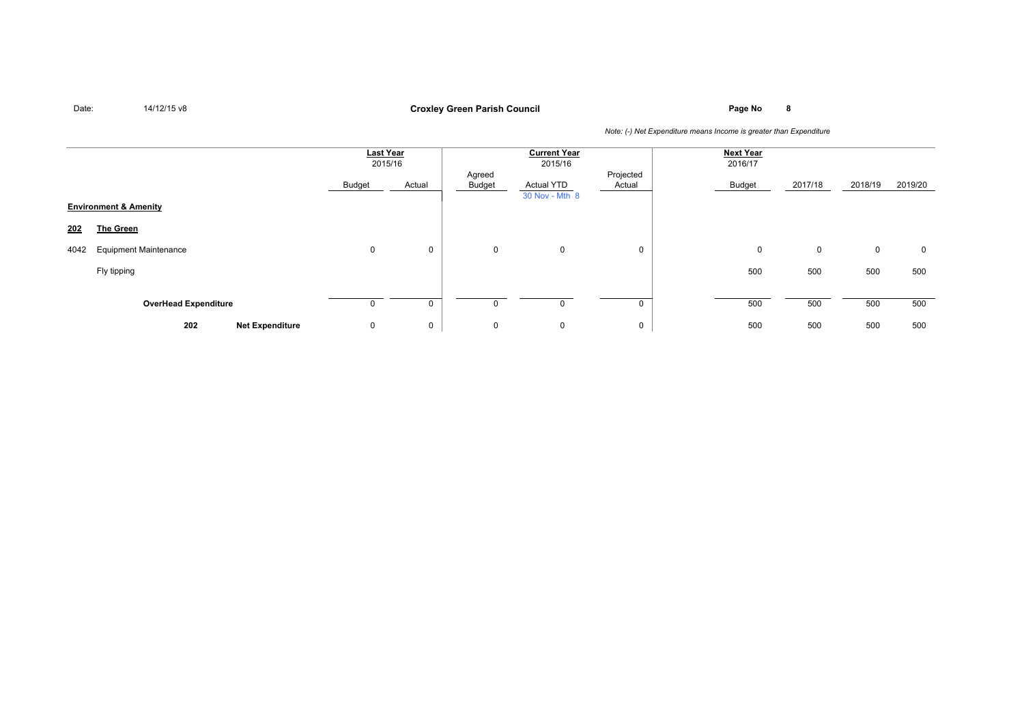# **Page No <sup>8</sup> Croxley Green Parish Council**

|      |                                  | Last Year<br>2015/16 |             |                  | <b>Current Year</b><br>2015/16      |                     | <b>Next Year</b><br>2016/17 |         |         |         |
|------|----------------------------------|----------------------|-------------|------------------|-------------------------------------|---------------------|-----------------------------|---------|---------|---------|
|      |                                  | Budget               | Actual      | Agreed<br>Budget | <b>Actual YTD</b><br>30 Nov - Mth 8 | Projected<br>Actual | Budget                      | 2017/18 | 2018/19 | 2019/20 |
|      | <b>Environment &amp; Amenity</b> |                      |             |                  |                                     |                     |                             |         |         |         |
| 202  | <b>The Green</b>                 |                      |             |                  |                                     |                     |                             |         |         |         |
| 4042 | <b>Equipment Maintenance</b>     | 0                    | 0           | 0                | $\mathbf 0$                         | 0                   | 0                           | 0       | 0       | 0       |
|      | Fly tipping                      |                      |             |                  |                                     |                     | 500                         | 500     | 500     | 500     |
|      | <b>OverHead Expenditure</b>      | 0                    | 0           |                  |                                     |                     | 500                         | 500     | 500     | 500     |
|      | 202<br><b>Net Expenditure</b>    | 0                    | $\mathbf 0$ | 0                | $\mathbf 0$                         | 0                   | 500                         | 500     | 500     | 500     |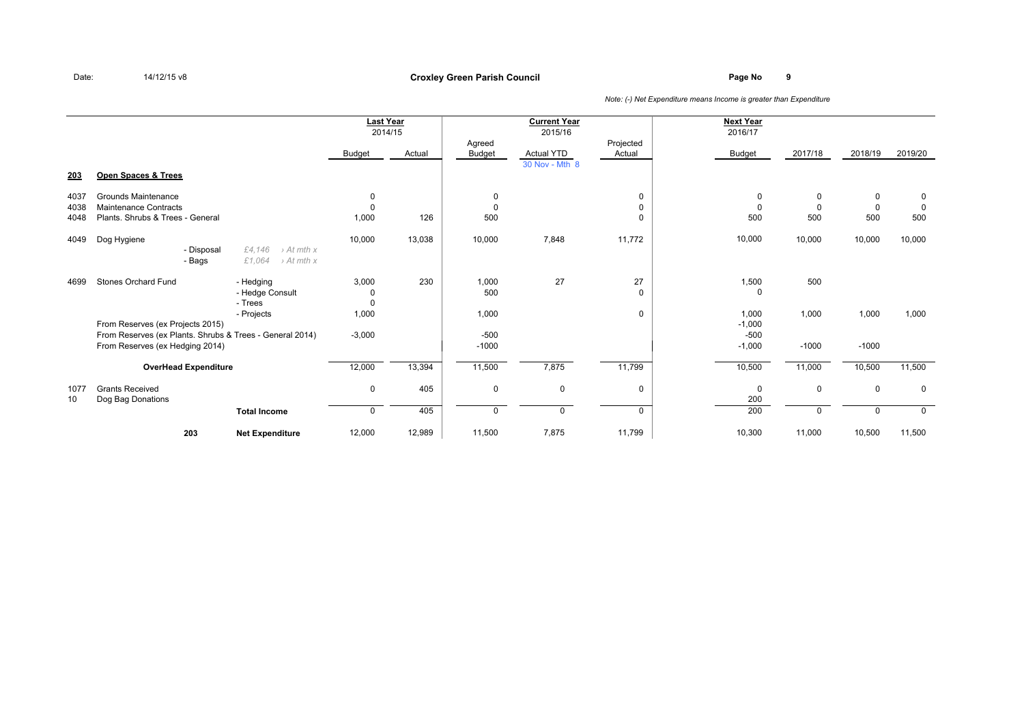### **Page No <sup>9</sup> Croxley Green Parish Council**

|      |                                                          |                                                                      | <b>Last Year</b><br>2014/15 |        | Agreed      | <b>Current Year</b><br>2015/16 | Projected | <b>Next Year</b><br>2016/17 |          |             |             |
|------|----------------------------------------------------------|----------------------------------------------------------------------|-----------------------------|--------|-------------|--------------------------------|-----------|-----------------------------|----------|-------------|-------------|
|      |                                                          |                                                                      | <b>Budget</b>               | Actual | Budget      | <b>Actual YTD</b>              | Actual    | <b>Budget</b>               | 2017/18  | 2018/19     | 2019/20     |
|      |                                                          |                                                                      |                             |        |             | 30 Nov - Mth 8                 |           |                             |          |             |             |
| 203  | Open Spaces & Trees                                      |                                                                      |                             |        |             |                                |           |                             |          |             |             |
| 4037 | Grounds Maintenance                                      |                                                                      | 0                           |        | 0           |                                | 0         | 0                           | 0        | 0           | $\mathbf 0$ |
| 4038 | Maintenance Contracts                                    |                                                                      | 0                           |        | 0           |                                | 0         | 0                           | 0        | $\mathbf 0$ | $\mathbf 0$ |
| 4048 | Plants, Shrubs & Trees - General                         |                                                                      | 1,000                       | 126    | 500         |                                | $\Omega$  | 500                         | 500      | 500         | 500         |
| 4049 | Dog Hygiene                                              |                                                                      | 10,000                      | 13,038 | 10,000      | 7,848                          | 11,772    | 10,000                      | 10,000   | 10,000      | 10,000      |
|      | - Disposal<br>- Bags                                     | £4,146<br>$\rightarrow$ At mth x<br>£1,064<br>$\rightarrow$ At mth x |                             |        |             |                                |           |                             |          |             |             |
| 4699 | Stones Orchard Fund                                      | - Hedging                                                            | 3,000                       | 230    | 1,000       | 27                             | 27        | 1,500                       | 500      |             |             |
|      |                                                          | - Hedge Consult<br>- Trees                                           | O                           |        | 500         |                                | $\Omega$  | $\Omega$                    |          |             |             |
|      |                                                          | - Projects                                                           | 1,000                       |        | 1,000       |                                | 0         | 1,000                       | 1,000    | 1,000       | 1,000       |
|      | From Reserves (ex Projects 2015)                         |                                                                      |                             |        |             |                                |           | $-1,000$                    |          |             |             |
|      | From Reserves (ex Plants. Shrubs & Trees - General 2014) |                                                                      | $-3,000$                    |        | $-500$      |                                |           | $-500$                      |          |             |             |
|      | From Reserves (ex Hedging 2014)                          |                                                                      |                             |        | $-1000$     |                                |           | $-1,000$                    | $-1000$  | $-1000$     |             |
|      | <b>OverHead Expenditure</b>                              |                                                                      | 12,000                      | 13,394 | 11,500      | 7,875                          | 11,799    | 10,500                      | 11,000   | 10,500      | 11,500      |
| 1077 | <b>Grants Received</b>                                   |                                                                      | 0                           | 405    | $\mathbf 0$ | 0                              | 0         | $\mathbf 0$                 | 0        | $\mathbf 0$ | $\mathbf 0$ |
| 10   | Dog Bag Donations                                        |                                                                      |                             |        |             |                                |           | 200                         |          |             |             |
|      |                                                          | <b>Total Income</b>                                                  | 0                           | 405    | $\mathbf 0$ | 0                              | 0         | 200                         | $\Omega$ | $\mathbf 0$ | $\mathbf 0$ |
|      | 203                                                      | <b>Net Expenditure</b>                                               | 12,000                      | 12,989 | 11,500      | 7,875                          | 11,799    | 10,300                      | 11,000   | 10,500      | 11,500      |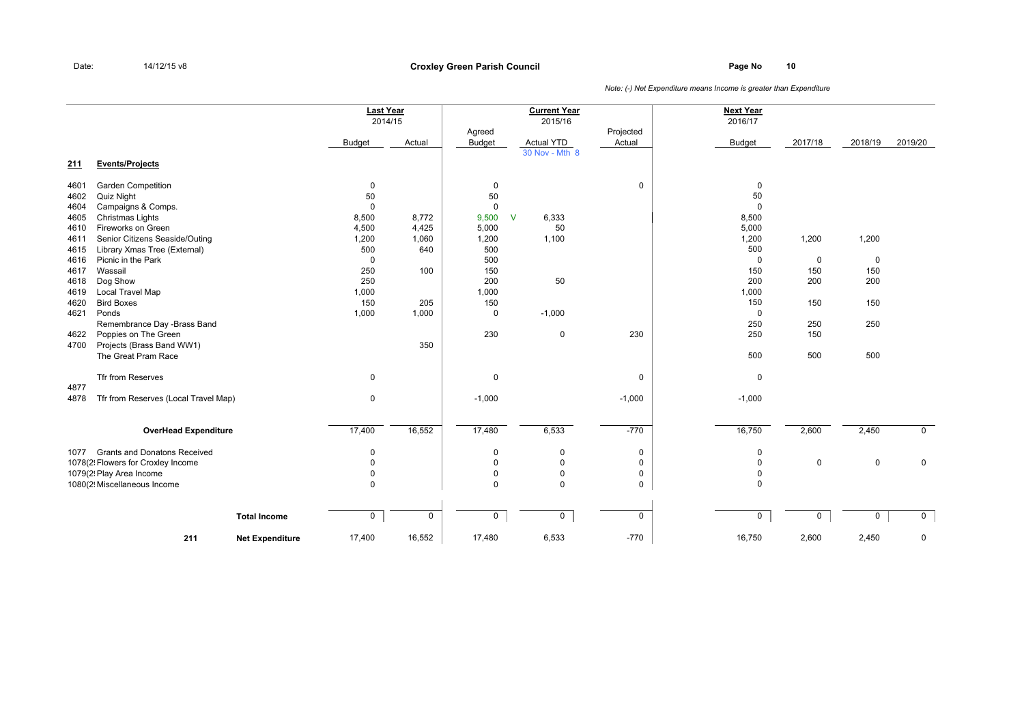### **Page No <sup>10</sup> Croxley Green Parish Council**

|      |                                      |                                  | <b>Last Year</b><br>2014/15 |                         | <b>Current Year</b><br>2015/16 |                     | <b>Next Year</b><br>2016/17 |             |             |                |
|------|--------------------------------------|----------------------------------|-----------------------------|-------------------------|--------------------------------|---------------------|-----------------------------|-------------|-------------|----------------|
|      |                                      | <b>Budget</b>                    | Actual                      | Agreed<br><b>Budget</b> | <b>Actual YTD</b>              | Projected<br>Actual | <b>Budget</b>               | 2017/18     | 2018/19     | 2019/20        |
| 211  | <b>Events/Projects</b>               |                                  |                             |                         | 30 Nov - Mth 8                 |                     |                             |             |             |                |
| 4601 | Garden Competition                   | $\mathbf 0$                      |                             | 0                       |                                | $\mathbf 0$         | $\mathbf 0$                 |             |             |                |
| 4602 | Quiz Night                           | 50                               |                             | 50                      |                                |                     | 50                          |             |             |                |
| 4604 | Campaigns & Comps.                   | $\mathbf 0$                      |                             | $\mathbf 0$             |                                |                     | $\mathbf 0$                 |             |             |                |
| 4605 | Christmas Lights                     | 8,500                            | 8,772                       | 9,500                   | $\mathsf{V}$<br>6,333          |                     | 8,500                       |             |             |                |
| 4610 | Fireworks on Green                   | 4,500                            | 4,425                       | 5,000                   | 50                             |                     | 5,000                       |             |             |                |
| 4611 | Senior Citizens Seaside/Outing       | 1,200                            | 1,060                       | 1,200                   | 1,100                          |                     | 1,200                       | 1,200       | 1,200       |                |
| 4615 | Library Xmas Tree (External)         | 500                              | 640                         | 500                     |                                |                     | 500                         |             |             |                |
| 4616 | Picnic in the Park                   | $\mathbf 0$                      |                             | 500                     |                                |                     | $\mathbf 0$                 | $\mathbf 0$ | $\mathbf 0$ |                |
| 4617 | Wassail                              | 250                              | 100                         | 150                     |                                |                     | 150                         | 150         | 150         |                |
| 4618 | Dog Show                             | 250                              |                             | 200                     | 50                             |                     | 200                         | 200         | 200         |                |
| 4619 | Local Travel Map                     | 1,000                            |                             | 1,000                   |                                |                     | 1,000                       |             |             |                |
| 4620 | <b>Bird Boxes</b>                    | 150                              | 205                         | 150                     |                                |                     | 150                         | 150         | 150         |                |
| 4621 | Ponds                                | 1,000                            | 1,000                       | 0                       | $-1,000$                       |                     | $\mathbf 0$                 |             |             |                |
|      | Remembrance Day -Brass Band          |                                  |                             |                         |                                |                     | 250                         | 250         | 250         |                |
| 4622 | Poppies on The Green                 |                                  |                             | 230                     | $\mathbf 0$                    | 230                 | 250                         | 150         |             |                |
| 4700 | Projects (Brass Band WW1)            |                                  | 350                         |                         |                                |                     |                             |             |             |                |
|      | The Great Pram Race                  |                                  |                             |                         |                                |                     | 500                         | 500         | 500         |                |
|      | Tfr from Reserves                    |                                  | $\mathbf 0$                 | $\mathbf 0$             |                                | $\mathbf 0$         | $\mathbf 0$                 |             |             |                |
| 4877 |                                      |                                  |                             |                         |                                |                     |                             |             |             |                |
| 4878 | Tfr from Reserves (Local Travel Map) | $\mathbf 0$                      |                             | $-1,000$                |                                | $-1,000$            | $-1,000$                    |             |             |                |
|      | <b>OverHead Expenditure</b>          | 17,400                           | 16,552                      | 17,480                  | 6,533                          | $-770$              | 16,750                      | 2,600       | 2,450       | $\mathsf{O}$   |
|      |                                      |                                  |                             |                         |                                |                     |                             |             |             |                |
| 1077 | Grants and Donatons Received         |                                  | 0                           | 0                       | 0                              | $\mathbf 0$         | $\mathbf 0$                 |             |             |                |
|      | 1078(2! Flowers for Croxley Income   | $\Omega$                         |                             | $\mathbf 0$             | $\mathbf 0$                    | 0                   | $\mathbf 0$                 | $\mathbf 0$ | $\mathbf 0$ | $\mathbf 0$    |
|      | 1079(2! Play Area Income             |                                  | 0                           | $\mathbf 0$             | $\mathbf 0$                    | 0                   | 0                           |             |             |                |
|      | 1080(2! Miscellaneous Income         |                                  | $\Omega$                    | $\Omega$                | $\Omega$                       | 0                   | 0                           |             |             |                |
|      |                                      |                                  |                             |                         |                                |                     |                             |             |             |                |
|      |                                      | <b>Total Income</b>              | 0<br>0                      | $\mathbf 0$             | 0                              | $\mathbf 0$         | $\mathbf 0$                 | 0           | 0           | $\overline{0}$ |
|      | 211                                  | 17,400<br><b>Net Expenditure</b> | 16,552                      | 17,480                  | 6,533                          | $-770$              | 16,750                      | 2,600       | 2,450       | $\mathbf 0$    |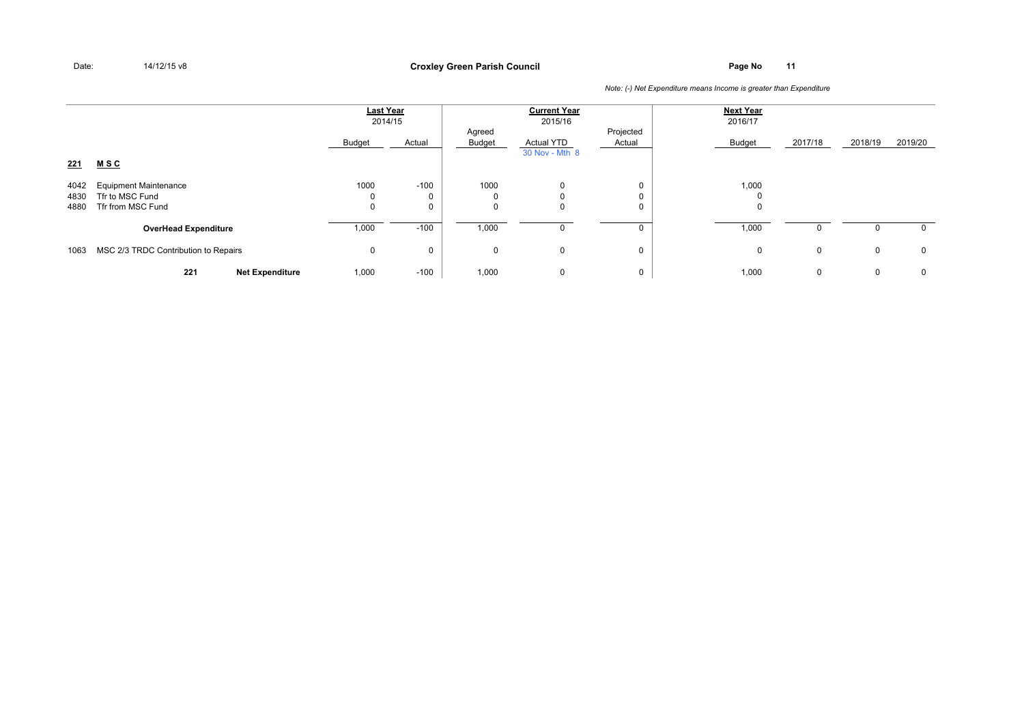**Page No <sup>11</sup> Croxley Green Parish Council**

|                      |                                                                      | Last Year      | 2014/15 |                  | <b>Current Year</b><br>2015/16      |                     | <b>Next Year</b><br>2016/17 |              |         |             |
|----------------------|----------------------------------------------------------------------|----------------|---------|------------------|-------------------------------------|---------------------|-----------------------------|--------------|---------|-------------|
| 221                  | <u>MSC</u>                                                           | Budget         | Actual  | Agreed<br>Budget | <b>Actual YTD</b><br>30 Nov - Mth 8 | Projected<br>Actual | Budget                      | 2017/18      | 2018/19 | 2019/20     |
| 4042<br>4830<br>4880 | <b>Equipment Maintenance</b><br>Tfr to MSC Fund<br>Tfr from MSC Fund | 1000<br>0<br>0 | $-100$  | 1000<br>0<br>0   | 0<br>0<br>0                         | 0<br>0<br>0         | 1,000<br>$\Omega$<br>0      |              |         |             |
|                      | <b>OverHead Expenditure</b>                                          | 1,000          | $-100$  | 1,000            | 0                                   | 0                   | 1,000                       | <sup>0</sup> | 0       | 0           |
| 1063                 | MSC 2/3 TRDC Contribution to Repairs                                 | 0              | U       | 0                | 0                                   | 0                   | 0                           | $\mathbf{0}$ | 0       | $\mathbf 0$ |
|                      | 221<br><b>Net Expenditure</b>                                        | 1,000          | $-100$  | 1,000            | 0                                   | 0                   | 1,000                       | 0            | 0       | $\mathbf 0$ |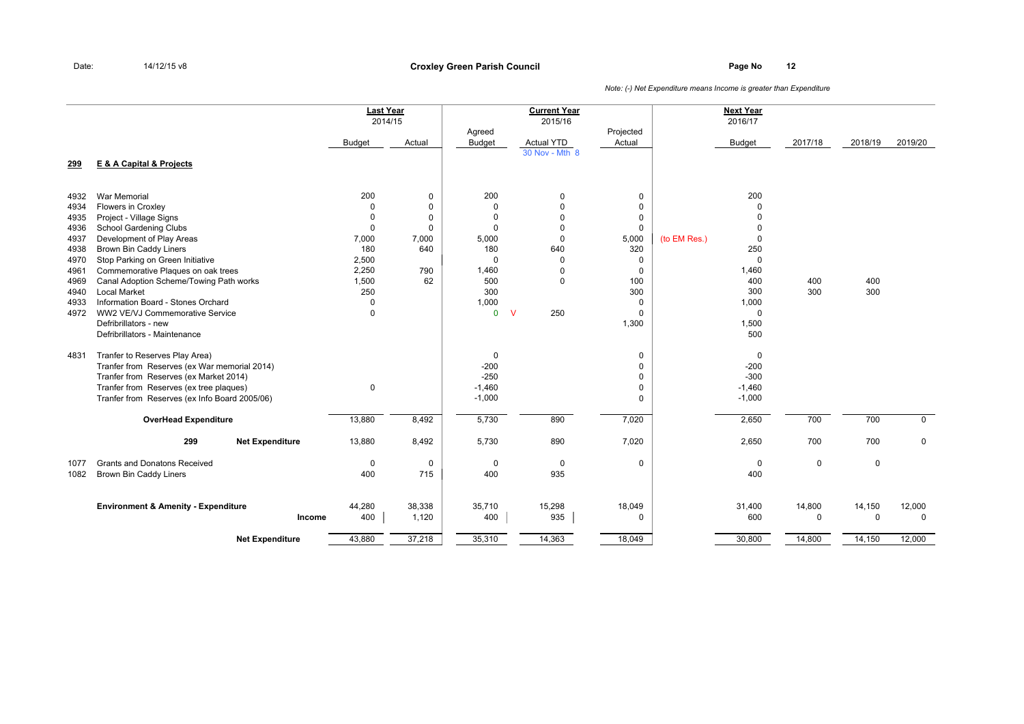### **Page No <sup>12</sup> Croxley Green Parish Council**

|              |                                                                | <b>Last Year</b> | 2014/15      |                         | <b>Current Year</b><br>2015/16 |                     |              | <b>Next Year</b><br>2016/17 |             |             |             |
|--------------|----------------------------------------------------------------|------------------|--------------|-------------------------|--------------------------------|---------------------|--------------|-----------------------------|-------------|-------------|-------------|
|              |                                                                | <b>Budget</b>    | Actual       | Agreed<br><b>Budget</b> | <b>Actual YTD</b>              | Projected<br>Actual |              | <b>Budget</b>               | 2017/18     | 2018/19     | 2019/20     |
| 299          | <b>E &amp; A Capital &amp; Projects</b>                        |                  |              |                         | 30 Nov - Mth 8                 |                     |              |                             |             |             |             |
| 4932         | War Memorial                                                   | 200              | $\mathbf 0$  | 200                     | $\pmb{0}$                      | 0                   |              | 200                         |             |             |             |
| 4934         | Flowers in Croxley                                             | $\Omega$         | $\mathbf 0$  | $\mathbf 0$             | $\mathbf 0$                    | $\mathbf 0$         |              | $\Omega$                    |             |             |             |
| 4935         | Project - Village Signs                                        | 0                | $\mathbf 0$  | 0                       | $\Omega$                       | 0                   |              | $\Omega$                    |             |             |             |
| 4936         | School Gardening Clubs                                         | $\mathbf 0$      | $\mathbf{0}$ | $\Omega$                | $\Omega$                       | $\mathbf 0$         |              | $\Omega$                    |             |             |             |
| 4937         | Development of Play Areas                                      | 7,000            | 7,000        | 5,000                   | $\mathbf 0$                    | 5,000               | (to EM Res.) | $\mathbf 0$                 |             |             |             |
| 4938         | <b>Brown Bin Caddy Liners</b>                                  | 180              | 640          | 180                     | 640                            | 320                 |              | 250                         |             |             |             |
| 4970         | Stop Parking on Green Initiative                               | 2,500            |              | $\Omega$                | 0                              | 0                   |              | 0                           |             |             |             |
| 4961         | Commemorative Plaques on oak trees                             | 2,250            | 790          | 1,460                   | $\Omega$                       | $\mathbf 0$         |              | 1,460                       |             | 400         |             |
| 4969<br>4940 | Canal Adoption Scheme/Towing Path works<br><b>Local Market</b> | 1,500<br>250     | 62           | 500<br>300              | $\mathbf 0$                    | 100<br>300          |              | 400<br>300                  | 400<br>300  | 300         |             |
| 4933         | Information Board - Stones Orchard                             | 0                |              | 1,000                   |                                | 0                   |              | 1,000                       |             |             |             |
| 4972         | WW2 VE/VJ Commemorative Service                                | $\Omega$         |              | $\mathbf{0}$            | 250<br>$\vee$                  | $\Omega$            |              | $\Omega$                    |             |             |             |
|              | Defribrillators - new                                          |                  |              |                         |                                | 1,300               |              | 1,500                       |             |             |             |
|              | Defribrillators - Maintenance                                  |                  |              |                         |                                |                     |              | 500                         |             |             |             |
| 4831         | Tranfer to Reserves Play Area)                                 |                  |              | 0                       |                                | 0                   |              | $\mathbf 0$                 |             |             |             |
|              | Tranfer from Reserves (ex War memorial 2014)                   |                  |              | $-200$                  |                                | $\mathbf 0$         |              | $-200$                      |             |             |             |
|              | Tranfer from Reserves (ex Market 2014)                         |                  |              | $-250$                  |                                | 0                   |              | $-300$                      |             |             |             |
|              | Tranfer from Reserves (ex tree plaques)                        | $\mathbf 0$      |              | $-1,460$                |                                | 0                   |              | $-1,460$                    |             |             |             |
|              | Tranfer from Reserves (ex Info Board 2005/06)                  |                  |              | $-1,000$                |                                | $\Omega$            |              | $-1,000$                    |             |             |             |
|              | <b>OverHead Expenditure</b>                                    | 13,880           | 8,492        | 5,730                   | 890                            | 7,020               |              | 2,650                       | 700         | 700         | $\mathbf 0$ |
|              | 299<br><b>Net Expenditure</b>                                  | 13,880           | 8,492        | 5,730                   | 890                            | 7,020               |              | 2,650                       | 700         | 700         | $\mathbf 0$ |
| 1077         | <b>Grants and Donatons Received</b>                            | $\mathbf 0$      | $\mathbf 0$  | $\mathbf 0$             | $\mathbf 0$                    | $\mathbf 0$         |              | $\mathbf 0$                 | $\mathbf 0$ | $\mathbf 0$ |             |
| 1082         | Brown Bin Caddy Liners                                         | 400              | 715          | 400                     | 935                            |                     |              | 400                         |             |             |             |
|              | <b>Environment &amp; Amenity - Expenditure</b>                 | 44,280           | 38,338       | 35,710                  | 15,298                         | 18,049              |              | 31,400                      | 14,800      | 14,150      | 12,000      |
|              | Income                                                         | 400              | 1,120        | 400                     | 935                            | 0                   |              | 600                         | 0           | $\mathbf 0$ | $\mathbf 0$ |
|              | <b>Net Expenditure</b>                                         | 43,880           | 37,218       | 35,310                  | 14,363                         | 18,049              |              | 30,800                      | 14,800      | 14,150      | 12,000      |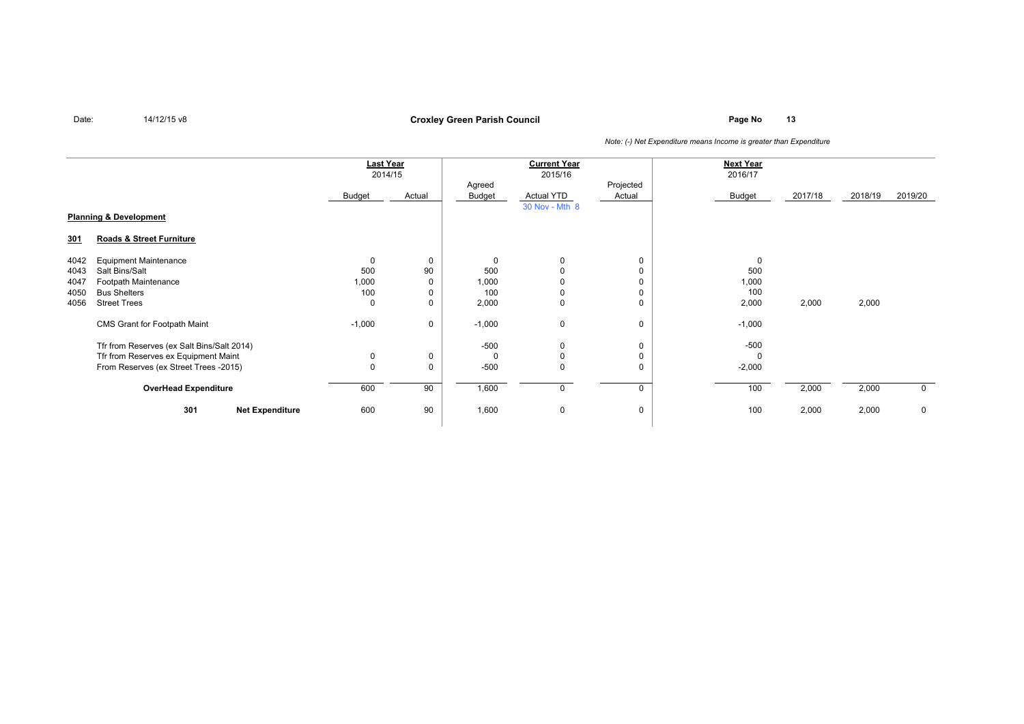**Page No <sup>13</sup> Croxley Green Parish Council**

|                                   |                                            | <b>Last Year</b><br>2014/15 |        | <b>Current Year</b><br>2015/16 |                   |        | <b>Next Year</b><br>2016/17 |         |         |             |
|-----------------------------------|--------------------------------------------|-----------------------------|--------|--------------------------------|-------------------|--------|-----------------------------|---------|---------|-------------|
|                                   |                                            |                             |        | Projected<br>Agreed            |                   |        |                             |         |         |             |
|                                   |                                            | Budget                      | Actual | Budget                         | <b>Actual YTD</b> | Actual | Budget                      | 2017/18 | 2018/19 | 2019/20     |
|                                   |                                            |                             |        |                                | 30 Nov - Mth 8    |        |                             |         |         |             |
| <b>Planning &amp; Development</b> |                                            |                             |        |                                |                   |        |                             |         |         |             |
| 301                               | Roads & Street Furniture                   |                             |        |                                |                   |        |                             |         |         |             |
| 4042                              | <b>Equipment Maintenance</b>               | 0                           | 0      | 0                              | 0                 | 0      | 0                           |         |         |             |
| 4043                              | Salt Bins/Salt                             | 500                         | 90     | 500                            |                   |        | 500                         |         |         |             |
| 4047                              | Footpath Maintenance                       | 1,000                       |        | 1,000                          |                   |        | 1,000                       |         |         |             |
| 4050                              | <b>Bus Shelters</b>                        | 100                         |        | 100                            | 0                 | 0      | 100                         |         |         |             |
| 4056                              | <b>Street Trees</b>                        | 0                           |        | 2,000                          | 0                 | 0      | 2,000                       | 2,000   | 2,000   |             |
|                                   | CMS Grant for Footpath Maint               | $-1,000$                    | 0      | $-1,000$                       | 0                 | 0      | $-1,000$                    |         |         |             |
|                                   | Tfr from Reserves (ex Salt Bins/Salt 2014) |                             |        | $-500$                         | 0                 | 0      | $-500$                      |         |         |             |
|                                   | Tfr from Reserves ex Equipment Maint       | 0                           | 0      | 0                              | 0                 | 0      |                             |         |         |             |
|                                   | From Reserves (ex Street Trees -2015)      | 0                           | 0      | $-500$                         | 0                 | 0      | $-2,000$                    |         |         |             |
|                                   | <b>OverHead Expenditure</b>                | 600                         | 90     | 1,600                          | 0                 | 0      | 100                         | 2,000   | 2,000   | $\mathbf 0$ |
|                                   | 301<br><b>Net Expenditure</b>              | 600                         | 90     | 1,600                          | 0                 | 0      | 100                         | 2,000   | 2,000   | 0           |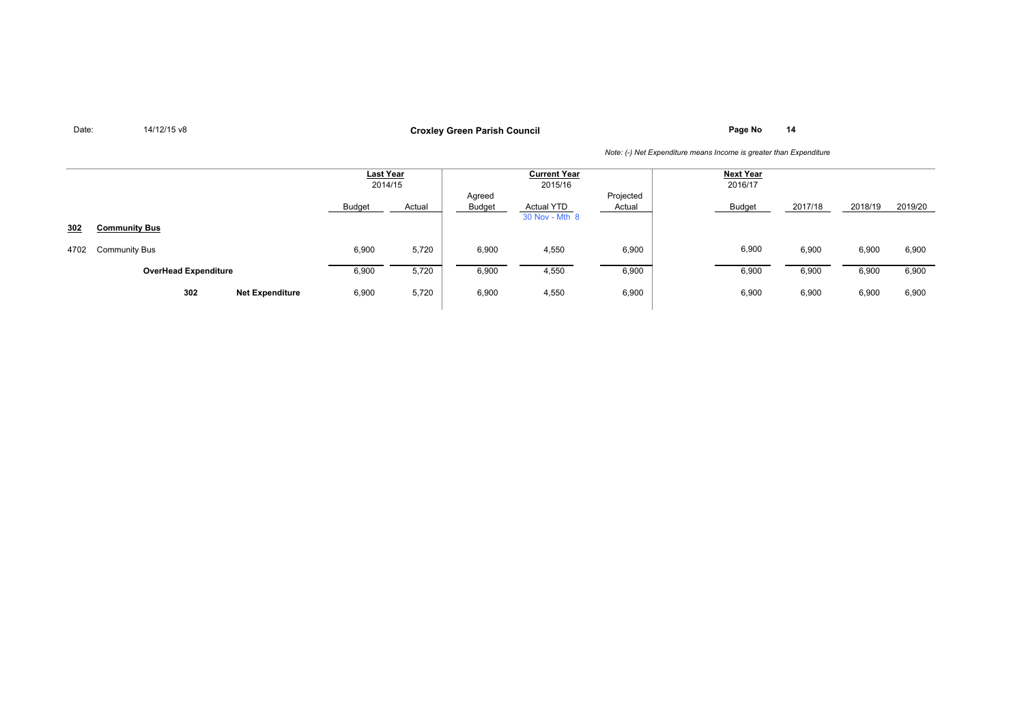**Page No <sup>14</sup> Croxley Green Parish Council**

|      |                               |        | <b>Last Year</b><br>2014/15 |                         | <b>Current Year</b><br>2015/16      | <b>Next Year</b><br>2016/17 |        |         |         |         |
|------|-------------------------------|--------|-----------------------------|-------------------------|-------------------------------------|-----------------------------|--------|---------|---------|---------|
|      |                               | Budget | Actual                      | Agreed<br><b>Budget</b> | <b>Actual YTD</b><br>30 Nov - Mth 8 | Projected<br>Actual         | Budget | 2017/18 | 2018/19 | 2019/20 |
| 302  | <b>Community Bus</b>          |        |                             |                         |                                     |                             |        |         |         |         |
| 4702 | <b>Community Bus</b>          | 6,900  | 5,720                       | 6,900                   | 4,550                               | 6,900                       | 6,900  | 6,900   | 6,900   | 6,900   |
|      | <b>OverHead Expenditure</b>   | 6,900  | 5,720                       | 6,900                   | 4,550                               | 6,900                       | 6,900  | 6,900   | 6,900   | 6,900   |
|      | 302<br><b>Net Expenditure</b> | 6,900  | 5,720                       | 6,900                   | 4,550                               | 6,900                       | 6,900  | 6,900   | 6,900   | 6,900   |